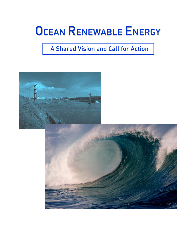# **OCEAN RENEWABLE ENERGY**

## A Shared Vision and Call for Action

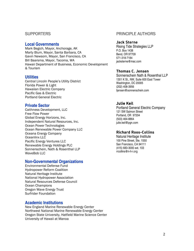#### SUPPORTERS

#### **Local Governments**

Mark Begich, Mayor, Anchorage, AK Marty Blum, Mayor, Santa Barbara, CA Gavin Newsom, Mayor, San Francisco, CA Bill Baarsma, Mayor, Tacoma, WA Hawaii Department of Business, Economic Development & Tourism

#### **Utilities**

Central Lincoln People's Utility District Florida Power & Light Hawaiian Electric Company Pacific Gas & Electric Portland General Electric

#### **Private Sector**

Caithness Development, LLC Free Flow Power Global Energy Horizons, Inc. Independent Natural Resources, Inc. Ocean Power Technologies Ocean Renewable Power Company LLC Oceana Energy Company Oceanlinx LLC Pacific Energy Ventures LLC Renewable Energy Holdings PLC Sonnenschein, Nath & Rosenthal LLP WaveBob IIC

#### **Non-Governmental Organizations**

Environmental Defense Fund Hydropower Reform Coalition Natural Heritage Institute National Hydropower Association Natural Resources Defense Council **Ocean Champions** Oregon Wave Energy Trust Surfrider Foundation

#### **Academic Institutions**

New England Marine Renewable Energy Center Northwest National Marine Renewable Energy Center Oregon State University, Hatfield Marine Science Center University of Hawaii at Manoa

#### PRINCIPLE AUTHORS

#### Jack Sterne

Rising Tide Strategies LLP P.O. Box 1438 Bend, OR 97709 571-318-7184 jacksterne@mac.com

#### Thomas C. Jensen

Sonnenschein Nath & Rosenthal I I P 1301 K St., NW, Suite 600 East Tower Washington, DC 20005 (202) 408-3956 tjensen@sonnenschein.com

#### Julie Keil

Portland General Electric Company 121 SW Salmon Street Portland, OR 97204 (503) 464-8864 julie.keil@pgn.com

#### Richard Roos-Collins

Natural Heritage Institute 100 Pine Street, Ste. 1550 San Francisco, CA 94111 (415) 683-3000 ext. 103 rrcollins@n-h-i.org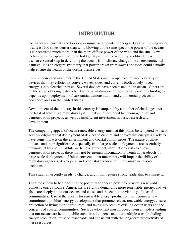## **INTRODUCTION**

Ocean waves, currents and tides carry immense amounts of energy. Because moving water is at least 700 times denser than wind blowing at the same speed, the power of the oceans is concentrated much more than the more diffuse power of the wind and the sun. New technologies to capture that force hold great promise for reducing worldwide fossil fuel use, an essential step in defending the oceans from climate change-driven environmental damage. It is an elegant symmetry that power drawn from waves and tides could actually help ensure the health of the oceans themselves.

Entrepreneurs and inventors in the United States and Europe have refined a variety of devices that may efficiently convert waves, tides, and currents (collectively "ocean energy") into electrical power. Several devices have been tested in the ocean. Others are on the verge of being test-ready. The rapid maturation of these ocean power technologies depends upon deployment of substantial demonstration and commercial projects in nearshore areas in the United States.

Development of the industry in this country is hampered by a number of challenges, not the least of which is a regulatory system that is not designed to encourage pilot and demonstration projects, as well as insufficient investment in basic research and development.

The compelling appeal of ocean renewable energy must, at this point, be tempered by frank acknowledgment that deployment of devices to capture and convey that energy is likely to have some impacts on the environment and coastal communities. The nature of those impacts and their significance, especially from large-scale deployments, are essentially unknown at this point. While we believe sufficient information exists to allow demonstration projects, there may not be enough information to weigh any tradeoffs of large-scale deployments. Unless corrected, that uncertainty will impair the ability of regulatory agencies, developers, and other stakeholders to timely make necessary decisions.

This situation urgently needs to change, and it will require strong leadership to change it.

The time is now to begin testing the potential for ocean power to provide a renewable domestic energy source. Americans are rightly demanding more renewable energy, and we also care deeply about our oceans and coasts and the economic viability of coastal communities. Use of the oceans for renewable energy production will require a new commitment to "blue" energy development that promotes clean, renewable energy, ensures protection of living marine resources, and takes into account existing ocean users and the concerns of coastal communities. Such development must proceed from an understanding that our oceans are held in public trust for all citizens, and that multiple uses (including energy production) must be reasonable and consistent with the long-term productivity of these resources.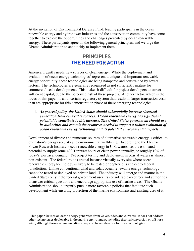renewable energy and hydropower industries and the conservation community have come together to explore the opportunities and challenges presented by ocean renewable energy. These participants agree on the following general principles, and we urge the Obama Administration to act quickly to implement them.

## PRINCIPLES THE NEED FOR ACTION

America urgently needs new sources of clean energy. While the deployment and evaluation of ocean energy technologies<sup>1</sup> represent a unique and important renewable energy opportunity, these technologies are being hampered and constrained by several factors. The technologies are generally recognized as not sufficiently mature for commercial-scale development. This makes it difficult for project developers to attract sufficient capital, due to the perceived risk of these projects. Another factor, which is the focus of this paper, is an uncertain regulatory system that results in larger transaction costs than are appropriate for this demonstration phase of these emerging technologies.

1. *As general policy, the United States should substantially increase electrical generation from renewable sources. Ocean renewable energy has significant potential to contribute to this increase. The United States government should use its authorities and commit the resources needed to support a robust evaluation of ocean renewable energy technology and its potential environmental impacts.*

At the invitation of Environmental Defense Fund, leading participants in the ocean<br>renewable energy and hydropower industries and the conservation community have come<br>renewable energy and hydropower industries and the con Development of diverse and numerous sources of alternative renewable energy is critical to our nation's energy security and environmental well-being. According to the Electric Power Research Institute, ocean renewable energy in U.S. waters has the estimated potential to supply some 400 Terawatt hours of clean power annually, or roughly 10% of today's electrical demand. Yet project testing and deployment in coastal waters is almost non-existent. The federal role is crucial because virtually every site where ocean renewable energy technology is likely to be tested or deployed is subject to federal jurisdiction. Unlike conventional wind and solar, ocean renewable energy technology cannot be tested or deployed on private land. The industry will emerge and mature in the United States only if the federal government uses its considerable resources and authorities to answer critical questions and encourage appropriate use of marine areas. The Obama Administration should urgently pursue more favorable policies that facilitate such development while ensuring protection of the marine environment and existing uses of it.

 $1$  This paper focuses on ocean energy generated from waves, tides, and currents. It does not address other technologies deployable in the marine environment, including thermal conversion or offshore wind, although these recommendations may also have relevance to those technologies.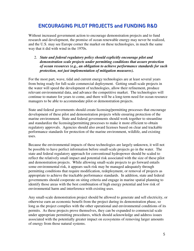## ENCOURAGIING PIILOT PROJECTS and FUNDIING R&D

Without increased government action to encourage demonstration projects and to fund research and development, the promise of ocean renewable energy may never be realized, and the U.S. may see Europe corner the market on these technologies, in much the same way that it did with wind in the 1970s.

#### 2. *State and federal regulatory policy should explicitly encourage pilot and demonstration scale projects under permitting conditions that assure protection of ocean resources (e.g., an obligation to achieve performance standards for such protection, not just implementation of mitigation measures).*

For the most part, wave, tidal and current energy technologies are at least several years from being ready for full-scale commercial deployment. Getting small-scale projects in the water will speed the development of technologies, allow their refinement, produce relevant environmental data, and advance the competitive market. The technologies will continue to mature for years to come, and there will be a long-term need for ocean resource managers to be able to accommodate pilot or demonstration projects.

State and federal governments should create licensing/permitting processes that encourage development of these pilot and demonstration projects while ensuring protection of the marine environment. State and federal governments should work together to streamline and standardize the licensing/permitting processes to make it more efficient to obtain regulatory approvals. Agencies should also award licenses based on clear and trackable performance standards for protection of the marine environment, wildlife, and existing uses.

Because the environmental impacts of these technologies are largely unknown, it will not be possible to have perfect information before small-scale projects go in the water. The state and federal regulatory approach for conventional hydropower should be scaled to reflect the relatively small impact and potential risk associated with the size of these pilot and demonstration projects. While allowing small-scale projects to go forward entails some environmental risk, it appears such risk may be managed adequately through permitting conditions that require modification, redeployment, or removal of projects as appropriate to achieve the trackable performance standards. In addition, state and federal governments should cooperate on siting criteria and engage in marine spatial planning to identify those areas with the best combination of high energy potential and low risk of environmental harm and interference with existing uses.

Any small-scale demonstration project should be allowed to generate and sell electricity, or otherwise earn an economic benefit from the project during its demonstration phase, so long as the project complies with the other operational and environmental conditions of its permits. As these projects prove themselves, they can be expanded to commercial scale under appropriate permitting procedures, which should acknowledge and address issues associated with the potentially greater impact on ecosystems of removing larger amounts of energy from those natural systems.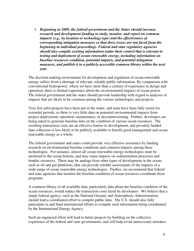3. *Beginning in 2009, the federal government and the States should increase research and development funding to study, monitor, and report on common impacts (e.g., by location or technology type) and the effectiveness of corresponding mitigation measures so that these issues are not faced from the beginning in individual proceedings. Federal and state regulatory agencies should also compile existing information under their control that is relevant to testing and deployment of ocean renewable energy, including information on baseline resources condition, potential impacts, and potential mitigation measures, and publish it in a publicly accessible common library within the next year.*

The decision-making environment for development and regulation of ocean renewable energy suffers from a shortage of relevant, reliable public information. By comparison with conventional hydropower, where we have more than a century of experience in design and operation, there is limited experience about the environmental impacts of ocean power. The federal government and the states should provide leadership with regard to analyses of impacts that are likely to be common among the various technologies and projects.

Very few pilot projects have been put in the water, and none have been fully tested for extended periods, so there is very little data on potential environmental impacts from project deployment, operation, maintenance, or decommissioning. Further, developers are being asked to generate baseline data on the condition of various ocean resources. The resulting transaction costs are an effective barrier to development, and privately funded data collection is less likely to be publicly available to benefit good management and ocean renewable energy as a whole.

The federal government and states could provide very effective assistance by funding research on environmental baseline conditions and common impacts among these technologies. For instance, almost all ocean renewable energy technologies must be anchored to the ocean bottom, and may cause impacts on sedimentation processes and benthic resources. There may be analogs from other types of development in the ocean, such as oil and gas platforms, that can provide reliable assessments of the impacts of a wide range of ocean renewable energy technologies. Further, we recommend that federal and state agencies that monitor the baseline condition of ocean resources coordinate these programs

A common library of all available data, particularly data about the baseline condition of the ocean resources, would reduce the transaction costs faced by developers. We believe that a single federal agency, such as the National Oceanic and Atmospheric Administration, should lead a coordinated effort to compile public data. The U.S. should also fully participate in and fund international efforts to compile such information being coordinated by the International Energy Agency.

Such an organized effort will lead to better projects by building on the collective experience of the federal and state governments, and will help avoid unnecessary mistakes.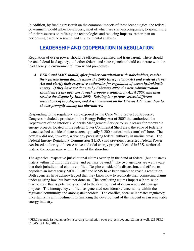In addition, by funding research on the common impacts of these technologies, the federal government would allow developers, most of which are start-up companies, to spend more of their resources on refining the technologies and reducing impacts, rather than on performing baseline research and environmental analyses.

## **LEADERSHIP AND COOPERATION IN REGULATION**

Regulation of ocean power should be efficient, organized and transparent. There should be one federal lead agency, and other federal and state agencies should cooperate with the lead agency in environmental review and procedures.

4. *FERC and MMS should, after further consultation with stakeholders, resolve their jurisdictional dispute under the 2005 Energy Policy Act and Federal Power Act and clarify their respective authorities for regulation of ocean hydrokinetic energy. If they have not done so by February 2009, the new Administration should direct the agencies to each propose a solution by April 2009, and then resolve the dispute by June 2009. Existing law permits several different resolutions of this dispute, and it is incumbent on the Obama Administration to choose promptly among the alternatives.*

Responding to the regulatory void exposed by the Cape Wind project controversy, Congress included a provision in the Energy Policy Act of 2005 that authorized the Department of the Interior's Minerals Management Service to issue leases for renewable energy projects located in the federal Outer Continental Shelf area, the zone of federally owned seabed outside of state waters, typically 3-200 nautical miles (nm) offshore. The new law did not, however, waive any preexisting federal authority in marine areas. The Federal Energy Regulatory Commission (FERC) had previously asserted Federal Power Act-based authority to license wave and tidal energy projects located in U.S. territorial waters, the ocean zone within 12 nm of the shoreline.

The agencies' respective jurisdictional claims overlap in the band of federal (but not state) waters within 12 nm of the shore, and perhaps beyond.<sup>2</sup> The two agencies are well aware that their jurisdictional claims conflict. Despite considerable discussion, and efforts to negotiate an interagency MOU, FERC and MMS have been unable to reach a resolution. Both agencies have acknowledged that they know how to reconcile their competing claims under existing law, but have not done so. The conflicting claims impact a 9 nm-wide marine zone that is potentially critical to the development of ocean renewable energy projects. The interagency conflict has generated considerable uncertainty within the regulated community and among stakeholders. The conflict, because it creates regulatory uncertainty, is an impediment to financing the development of the nascent ocean renewable energy industry.

 $^2$  FERC recently issued an order asserting jurisdiction over projects beyond 12 nm as well. 125 FERC 61,045 (Oct. 16, 2008).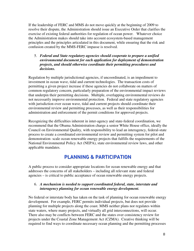If the leadership of FERC and MMS do not move quickly at the beginning of 2009 to resolve their dispute, the Administration should issue an Executive Order that clarifies the exercise of existing federal authorities for regulation of ocean power. Whatever choice the Administration makes should take into account ecosystem-based management principles and the principles articulated in this document, while ensuring that the risk and confusion created by the MMS-FERC impasse is resolved.

#### 5. *Federal and State regulatory agencies should cooperate to prepare a unified environmental document for each application for deployment of demonstration projects, and should otherwise coordinate their permitting procedures and decisions.*

Regulation by multiple jurisdictional agencies, if uncoordinated, is an impediment to investment in ocean wave, tidal and current technologies. The transaction costs of permitting a given project increase if these agencies do not collaborate on matters of common regulatory concern, particularly preparation of the environmental impact reviews that underpin their permitting decisions. Multiple, overlapping environmental reviews do not necessarily improve environmental protection. Federal and state regulatory agencies with jurisdiction over ocean wave, tidal and current projects should coordinate their environmental review and permitting processes, as well as their responsibilities for administration and enforcement of the permit conditions for approved projects.

Recognizing the difficulties inherent in inter-agency and state-federal coordination, we recommend that the Obama Administration charge a senior White House office, ideally the Council on Environmental Quality, with responsibility to lead an interagency, federal-state process to create a coordinated environmental review and permitting system for pilot and demonstration- scale ocean renewable energy projects that fulfills the requirements of the National Environmental Policy Act (NEPA), state environmental review laws, and other applicable mandates.

## PLANNING & PARTICIPATION

A public process to consider appropriate locations for ocean renewable energy and that addresses the concerns of all stakeholders – including all relevant state and federal agencies – is critical to public acceptance of ocean renewable energy projects.

#### 6. *A mechanism is needed to support coordinated federal, state, interstate and interagency planning for ocean renewable energy development.*

No federal or interstate body has taken on the task of planning for ocean renewable energy development. For example, FERC permits individual projects, but does not provide planning for multiple projects along the coast. MMS neither plans nor regulates within state waters, where many projects, and virtually all grid interconnections, will occur. There also may be conflicts between FERC and the states over consistency review for projects under the Coastal Zone Management Act (CZMA). Creative thinking will be required to find ways to coordinate necessary ocean planning and the permitting processes